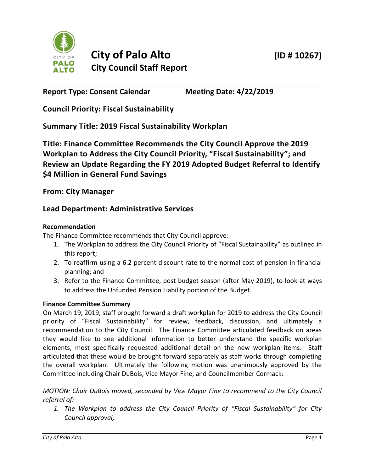

**Report Type: Consent Calendar Meeting Date: 4/22/2019**

**Council Priority: Fiscal Sustainability**

**Summary Title: 2019 Fiscal Sustainability Workplan**

**Title: Finance Committee Recommends the City Council Approve the 2019 Workplan to Address the City Council Priority, "Fiscal Sustainability"; and Review an Update Regarding the FY 2019 Adopted Budget Referral to Identify \$4 Million in General Fund Savings**

**From: City Manager**

# **Lead Department: Administrative Services**

### **Recommendation**

The Finance Committee recommends that City Council approve:

- 1. The Workplan to address the City Council Priority of "Fiscal Sustainability" as outlined in this report;
- 2. To reaffirm using a 6.2 percent discount rate to the normal cost of pension in financial planning; and
- 3. Refer to the Finance Committee, post budget season (after May 2019), to look at ways to address the Unfunded Pension Liability portion of the Budget.

## **Finance Committee Summary**

On March 19, 2019, staff brought forward a draft workplan for 2019 to address the City Council priority of "Fiscal Sustainability" for review, feedback, discussion, and ultimately a recommendation to the City Council. The Finance Committee articulated feedback on areas they would like to see additional information to better understand the specific workplan elements, most specifically requested additional detail on the new workplan items. Staff articulated that these would be brought forward separately as staff works through completing the overall workplan. Ultimately the following motion was unanimously approved by the Committee including Chair DuBois, Vice Mayor Fine, and Councilmember Cormack:

*MOTION: Chair DuBois moved, seconded by Vice Mayor Fine to recommend to the City Council referral of:* 

*1. The Workplan to address the City Council Priority of "Fiscal Sustainability" for City Council approval;*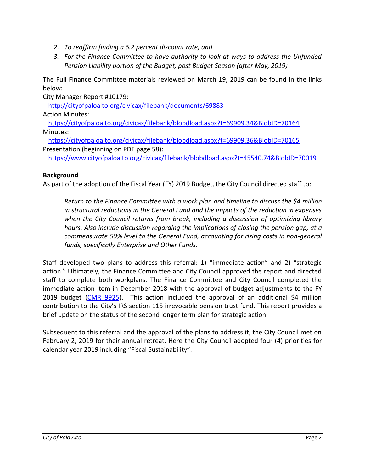- *2. To reaffirm finding a 6.2 percent discount rate; and*
- *3. For the Finance Committee to have authority to look at ways to address the Unfunded Pension Liability portion of the Budget, post Budget Season (after May, 2019)*

The Full Finance Committee materials reviewed on March 19, 2019 can be found in the links below:

City Manager Report #10179:

<http://cityofpaloalto.org/civicax/filebank/documents/69883>

Action Minutes:

<https://cityofpaloalto.org/civicax/filebank/blobdload.aspx?t=69909.34&BlobID=70164> Minutes:

<https://cityofpaloalto.org/civicax/filebank/blobdload.aspx?t=69909.36&BlobID=70165> Presentation (beginning on PDF page 58):

<https://www.cityofpaloalto.org/civicax/filebank/blobdload.aspx?t=45540.74&BlobID=70019>

#### **Background**

As part of the adoption of the Fiscal Year (FY) 2019 Budget, the City Council directed staff to:

*Return to the Finance Committee with a work plan and timeline to discuss the \$4 million in structural reductions in the General Fund and the impacts of the reduction in expenses when the City Council returns from break, including a discussion of optimizing library hours. Also include discussion regarding the implications of closing the pension gap, at a commensurate 50% level to the General Fund, accounting for rising costs in non-general funds, specifically Enterprise and Other Funds.*

Staff developed two plans to address this referral: 1) "immediate action" and 2) "strategic action." Ultimately, the Finance Committee and City Council approved the report and directed staff to complete both workplans. The Finance Committee and City Council completed the immediate action item in December 2018 with the approval of budget adjustments to the FY 2019 budget [\(CMR 9925\)](http://cityofpaloalto.org/civicax/filebank/documents/68153). This action included the approval of an additional \$4 million contribution to the City's IRS section 115 irrevocable pension trust fund. This report provides a brief update on the status of the second longer term plan for strategic action.

Subsequent to this referral and the approval of the plans to address it, the City Council met on February 2, 2019 for their annual retreat. Here the City Council adopted four (4) priorities for calendar year 2019 including "Fiscal Sustainability".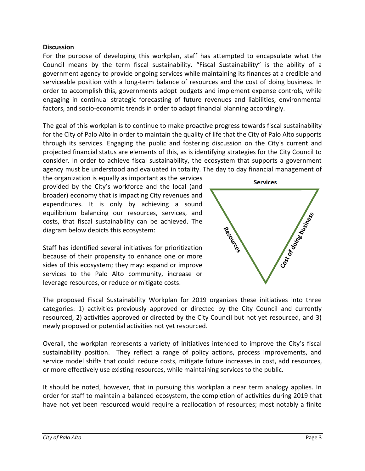#### **Discussion**

For the purpose of developing this workplan, staff has attempted to encapsulate what the Council means by the term fiscal sustainability. "Fiscal Sustainability" is the ability of a government agency to provide ongoing services while maintaining its finances at a credible and serviceable position with a long-term balance of resources and the cost of doing business. In order to accomplish this, governments adopt budgets and implement expense controls, while engaging in continual strategic forecasting of future revenues and liabilities, environmental factors, and socio-economic trends in order to adapt financial planning accordingly.

The goal of this workplan is to continue to make proactive progress towards fiscal sustainability for the City of Palo Alto in order to maintain the quality of life that the City of Palo Alto supports through its services. Engaging the public and fostering discussion on the City's current and projected financial status are elements of this, as is identifying strategies for the City Council to consider. In order to achieve fiscal sustainability, the ecosystem that supports a government agency must be understood and evaluated in totality. The day to day financial management of

the organization is equally as important as the services provided by the City's workforce and the local (and broader) economy that is impacting City revenues and expenditures. It is only by achieving a sound equilibrium balancing our resources, services, and costs, that fiscal sustainability can be achieved. The diagram below depicts this ecosystem:

Staff has identified several initiatives for prioritization because of their propensity to enhance one or more sides of this ecosystem; they may: expand or improve services to the Palo Alto community, increase or leverage resources, or reduce or mitigate costs.



The proposed Fiscal Sustainability Workplan for 2019 organizes these initiatives into three categories: 1) activities previously approved or directed by the City Council and currently resourced, 2) activities approved or directed by the City Council but not yet resourced, and 3) newly proposed or potential activities not yet resourced.

Overall, the workplan represents a variety of initiatives intended to improve the City's fiscal sustainability position. They reflect a range of policy actions, process improvements, and service model shifts that could: reduce costs, mitigate future increases in cost, add resources, or more effectively use existing resources, while maintaining services to the public.

It should be noted, however, that in pursuing this workplan a near term analogy applies. In order for staff to maintain a balanced ecosystem, the completion of activities during 2019 that have not yet been resourced would require a reallocation of resources; most notably a finite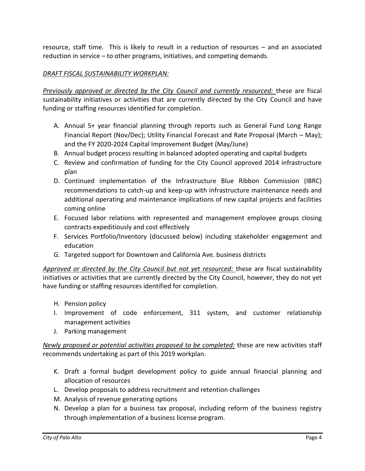resource, staff time. This is likely to result in a reduction of resources – and an associated reduction in service – to other programs, initiatives, and competing demands.

#### *DRAFT FISCAL SUSTAINABILITY WORKPLAN:*

*Previously approved or directed by the City Council and currently resourced:* these are fiscal sustainability initiatives or activities that are currently directed by the City Council and have funding or staffing resources identified for completion.

- A. Annual 5+ year financial planning through reports such as General Fund Long Range Financial Report (Nov/Dec); Utility Financial Forecast and Rate Proposal (March – May); and the FY 2020-2024 Capital Improvement Budget (May/June)
- B. Annual budget process resulting in balanced adopted operating and capital budgets
- C. Review and confirmation of funding for the City Council approved 2014 infrastructure plan
- D. Continued implementation of the Infrastructure Blue Ribbon Commission (IBRC) recommendations to catch-up and keep-up with infrastructure maintenance needs and additional operating and maintenance implications of new capital projects and facilities coming online
- E. Focused labor relations with represented and management employee groups closing contracts expeditiously and cost effectively
- F. Services Portfolio/Inventory (discussed below) including stakeholder engagement and education
- G. Targeted support for Downtown and California Ave. business districts

*Approved or directed by the City Council but not yet resourced:* these are fiscal sustainability initiatives or activities that are currently directed by the City Council, however, they do not yet have funding or staffing resources identified for completion.

- H. Pension policy
- I. Improvement of code enforcement, 311 system, and customer relationship management activities
- J. Parking management

*Newly proposed or potential activities proposed to be completed:* these are new activities staff recommends undertaking as part of this 2019 workplan.

- K. Draft a formal budget development policy to guide annual financial planning and allocation of resources
- L. Develop proposals to address recruitment and retention challenges
- M. Analysis of revenue generating options
- N. Develop a plan for a business tax proposal, including reform of the business registry through implementation of a business license program.